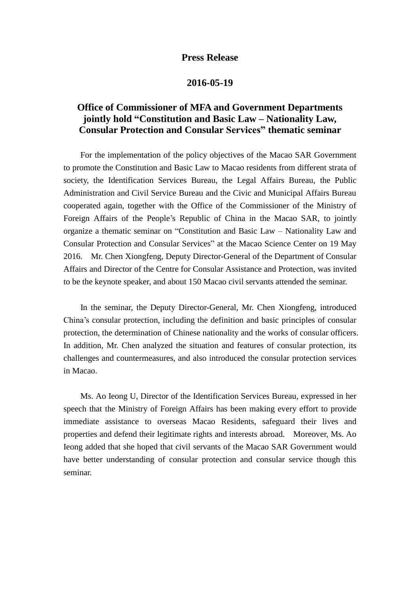## **Press Release**

## **2016-05-19**

## **Office of Commissioner of MFA and Government Departments jointly hold "Constitution and Basic Law – Nationality Law, Consular Protection and Consular Services" thematic seminar**

 For the implementation of the policy objectives of the Macao SAR Government to promote the Constitution and Basic Law to Macao residents from different strata of society, the Identification Services Bureau, the Legal Affairs Bureau, the Public Administration and Civil Service Bureau and the Civic and Municipal Affairs Bureau cooperated again, together with the Office of the Commissioner of the Ministry of Foreign Affairs of the People's Republic of China in the Macao SAR, to jointly organize a thematic seminar on "Constitution and Basic Law – Nationality Law and Consular Protection and Consular Services" at the Macao Science Center on 19 May 2016. Mr. Chen Xiongfeng, Deputy Director-General of the Department of Consular Affairs and Director of the Centre for Consular Assistance and Protection, was invited to be the keynote speaker, and about 150 Macao civil servants attended the seminar.

 In the seminar, the Deputy Director-General, Mr. Chen Xiongfeng, introduced China's consular protection, including the definition and basic principles of consular protection, the determination of Chinese nationality and the works of consular officers. In addition, Mr. Chen analyzed the situation and features of consular protection, its challenges and countermeasures, and also introduced the consular protection services in Macao.

 Ms. Ao Ieong U, Director of the Identification Services Bureau, expressed in her speech that the Ministry of Foreign Affairs has been making every effort to provide immediate assistance to overseas Macao Residents, safeguard their lives and properties and defend their legitimate rights and interests abroad. Moreover, Ms. Ao Ieong added that she hoped that civil servants of the Macao SAR Government would have better understanding of consular protection and consular service though this seminar.